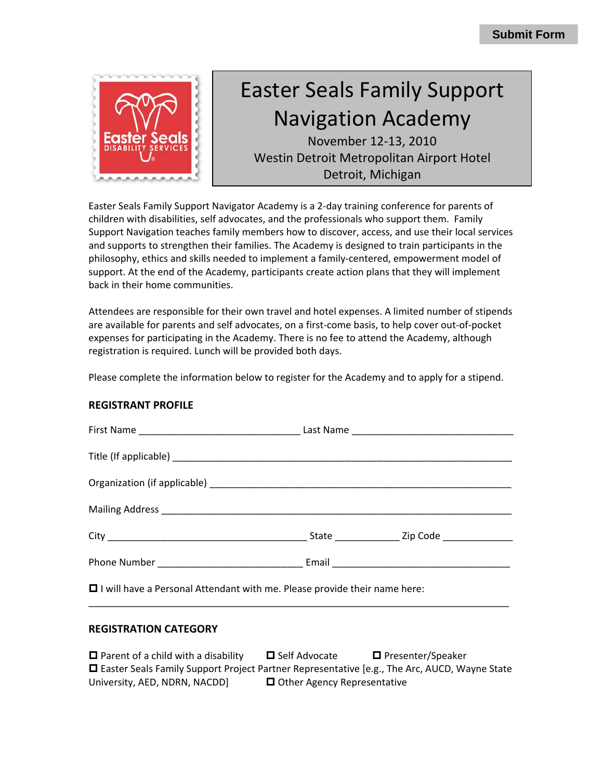

# Easter Seals Family Support Navigation Academy

November 12‐13, 2010 Westin Detroit Metropolitan Airport Hotel Detroit, Michigan

Easter Seals Family Support Navigator Academy is a 2‐day training conference for parents of children with disabilities, self advocates, and the professionals who support them. Family Support Navigation teaches family members how to discover, access, and use their local services and supports to strengthen their families. The Academy is designed to train participants in the philosophy, ethics and skills needed to implement a family‐centered, empowerment model of support. At the end of the Academy, participants create action plans that they will implement back in their home communities.

Attendees are responsible for their own travel and hotel expenses. A limited number of stipends are available for parents and self advocates, on a first-come basis, to help cover out-of-pocket expenses for participating in the Academy. There is no fee to attend the Academy, although registration is required. Lunch will be provided both days.

Please complete the information below to register for the Academy and to apply for a stipend.

#### **REGISTRANT PROFILE**

| $\Box$ I will have a Personal Attendant with me. Please provide their name here: |  |  |  |
|----------------------------------------------------------------------------------|--|--|--|

### **REGISTRATION CATEGORY**

| $\Box$ Parent of a child with a disability                                                          | <b>□</b> Self Advocate             | □ Presenter/Speaker |
|-----------------------------------------------------------------------------------------------------|------------------------------------|---------------------|
| $\Box$ Easter Seals Family Support Project Partner Representative [e.g., The Arc, AUCD, Wayne State |                                    |                     |
| University, AED, NDRN, NACDD]                                                                       | $\Box$ Other Agency Representative |                     |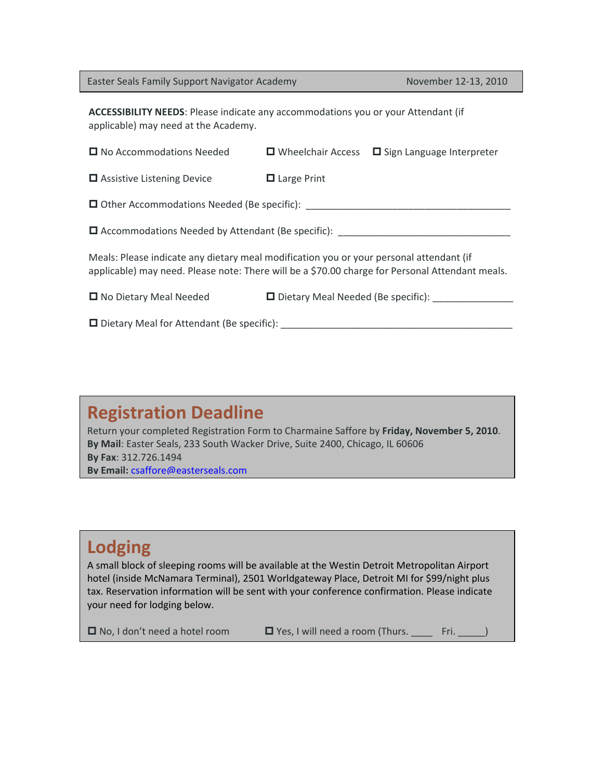Easter Seals Family Support Navigator Academy November 12‐13, 2010

**ACCESSIBILITY NEEDS**: Please indicate any accommodations you or your Attendant (if applicable) may need at the Academy.

| □ No Accommodations Needed                                                                                                                                                                 |                                      | $\Box$ Wheelchair Access $\Box$ Sign Language Interpreter |  |
|--------------------------------------------------------------------------------------------------------------------------------------------------------------------------------------------|--------------------------------------|-----------------------------------------------------------|--|
| $\Box$ Assistive Listening Device                                                                                                                                                          | $\Box$ Large Print                   |                                                           |  |
| □ Other Accommodations Needed (Be specific):                                                                                                                                               |                                      |                                                           |  |
| $\Box$ Accommodations Needed by Attendant (Be specific):                                                                                                                                   |                                      |                                                           |  |
| Meals: Please indicate any dietary meal modification you or your personal attendant (if<br>applicable) may need. Please note: There will be a \$70.00 charge for Personal Attendant meals. |                                      |                                                           |  |
| □ No Dietary Meal Needed                                                                                                                                                                   | □ Dietary Meal Needed (Be specific): |                                                           |  |
| $\Box$ Dietary Meal for Attendant (Be specific):                                                                                                                                           |                                      |                                                           |  |

# **Registration Deadline**

Return your completed Registration Form to Charmaine Saffore by **Friday, November 5, 2010**. **By Mail**: Easter Seals, 233 South Wacker Drive, Suite 2400, Chicago, IL 60606 **By Fax**: 312.726.1494 **By Email:** [csaffore@easterseals.com](mailto:csaffore@easterseals.com)

## **Lodging**

A small block of sleeping rooms will be available at the Westin Detroit Metropolitan Airport hotel (inside McNamara Terminal), 2501 Worldgateway Place, Detroit MI for \$99/night plus tax. Reservation information will be sent with your conference confirmation. Please indicate your need for lodging below.

 $\Box$  No, I don't need a hotel room  $\Box$  Yes, I will need a room (Thurs. Fri.  $\Box$ )